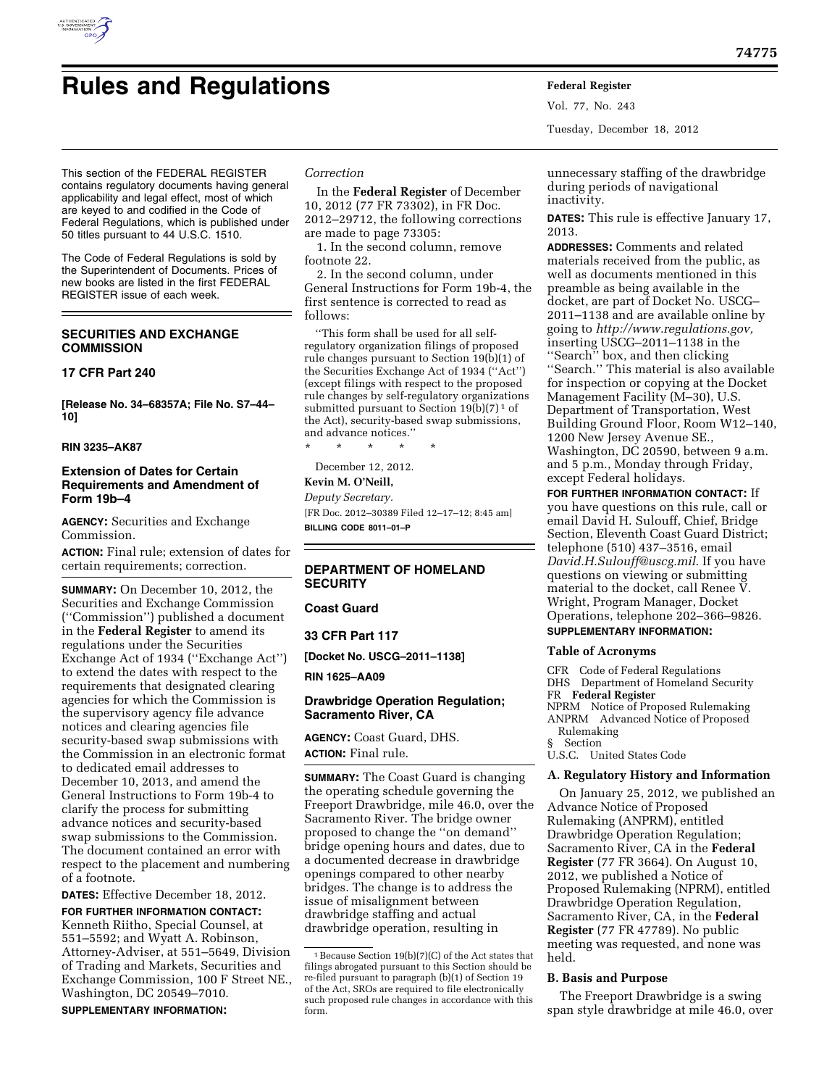

Vol. 77, No. 243 Tuesday, December 18, 2012

This section of the FEDERAL REGISTER contains regulatory documents having general applicability and legal effect, most of which are keyed to and codified in the Code of Federal Regulations, which is published under 50 titles pursuant to 44 U.S.C. 1510.

The Code of Federal Regulations is sold by the Superintendent of Documents. Prices of new books are listed in the first FEDERAL REGISTER issue of each week.

# **SECURITIES AND EXCHANGE COMMISSION**

### **17 CFR Part 240**

**[Release No. 34–68357A; File No. S7–44– 10]** 

**RIN 3235–AK87** 

# **Extension of Dates for Certain Requirements and Amendment of Form 19b–4**

**AGENCY:** Securities and Exchange Commission.

**ACTION:** Final rule; extension of dates for certain requirements; correction.

**SUMMARY:** On December 10, 2012, the Securities and Exchange Commission (''Commission'') published a document in the **Federal Register** to amend its regulations under the Securities Exchange Act of 1934 (''Exchange Act'') to extend the dates with respect to the requirements that designated clearing agencies for which the Commission is the supervisory agency file advance notices and clearing agencies file security-based swap submissions with the Commission in an electronic format to dedicated email addresses to December 10, 2013, and amend the General Instructions to Form 19b-4 to clarify the process for submitting advance notices and security-based swap submissions to the Commission. The document contained an error with respect to the placement and numbering of a footnote.

**DATES:** Effective December 18, 2012.

**FOR FURTHER INFORMATION CONTACT:**  Kenneth Riitho, Special Counsel, at 551–5592; and Wyatt A. Robinson, Attorney-Adviser, at 551–5649, Division of Trading and Markets, Securities and Exchange Commission, 100 F Street NE., Washington, DC 20549–7010.

### **SUPPLEMENTARY INFORMATION:**

# *Correction*

In the **Federal Register** of December 10, 2012 (77 FR 73302), in FR Doc. 2012–29712, the following corrections are made to page 73305:

1. In the second column, remove footnote 22.

2. In the second column, under General Instructions for Form 19b-4, the first sentence is corrected to read as follows:

''This form shall be used for all selfregulatory organization filings of proposed rule changes pursuant to Section 19(b)(1) of the Securities Exchange Act of 1934 (''Act'') (except filings with respect to the proposed rule changes by self-regulatory organizations submitted pursuant to Section  $19(b)(7)^1$  of the Act), security-based swap submissions, and advance notices.''

\* \* \* \* \*

December 12, 2012.

# **Kevin M. O'Neill,**

*Deputy Secretary.*  [FR Doc. 2012–30389 Filed 12–17–12; 8:45 am] **BILLING CODE 8011–01–P** 

# **DEPARTMENT OF HOMELAND SECURITY**

### **Coast Guard**

**33 CFR Part 117** 

**[Docket No. USCG–2011–1138]** 

**RIN 1625–AA09** 

# **Drawbridge Operation Regulation; Sacramento River, CA**

**AGENCY:** Coast Guard, DHS. **ACTION:** Final rule.

**SUMMARY:** The Coast Guard is changing the operating schedule governing the Freeport Drawbridge, mile 46.0, over the Sacramento River. The bridge owner proposed to change the ''on demand'' bridge opening hours and dates, due to a documented decrease in drawbridge openings compared to other nearby bridges. The change is to address the issue of misalignment between drawbridge staffing and actual drawbridge operation, resulting in

unnecessary staffing of the drawbridge during periods of navigational inactivity.

**DATES:** This rule is effective January 17, 2013.

**ADDRESSES:** Comments and related materials received from the public, as well as documents mentioned in this preamble as being available in the docket, are part of Docket No. USCG– 2011–1138 and are available online by going to *[http://www.regulations.gov,](http://www.regulations.gov)*  inserting USCG–2011–1138 in the ''Search'' box, and then clicking ''Search.'' This material is also available for inspection or copying at the Docket Management Facility (M–30), U.S. Department of Transportation, West Building Ground Floor, Room W12–140, 1200 New Jersey Avenue SE., Washington, DC 20590, between 9 a.m. and 5 p.m., Monday through Friday, except Federal holidays.

**FOR FURTHER INFORMATION CONTACT:** If you have questions on this rule, call or email David H. Sulouff, Chief, Bridge Section, Eleventh Coast Guard District; telephone (510) 437–3516, email *[David.H.Sulouff@uscg.mil](mailto:David.H.Sulouff@uscg.mil)*. If you have questions on viewing or submitting material to the docket, call Renee V. Wright, Program Manager, Docket Operations, telephone 202–366–9826. **SUPPLEMENTARY INFORMATION:** 

### **Table of Acronyms**

CFR Code of Federal Regulations DHS Department of Homeland Security FR **Federal Register**  NPRM Notice of Proposed Rulemaking ANPRM Advanced Notice of Proposed Rulemaking § Section U.S.C. United States Code

### **A. Regulatory History and Information**

On January 25, 2012, we published an Advance Notice of Proposed Rulemaking (ANPRM), entitled Drawbridge Operation Regulation; Sacramento River, CA in the **Federal Register** (77 FR 3664). On August 10, 2012, we published a Notice of Proposed Rulemaking (NPRM), entitled Drawbridge Operation Regulation, Sacramento River, CA, in the **Federal Register** (77 FR 47789). No public meeting was requested, and none was held.

### **B. Basis and Purpose**

The Freeport Drawbridge is a swing span style drawbridge at mile 46.0, over

<sup>1</sup>Because Section 19(b)(7)(C) of the Act states that filings abrogated pursuant to this Section should be re-filed pursuant to paragraph (b)(1) of Section 19 of the Act, SROs are required to file electronically such proposed rule changes in accordance with this form.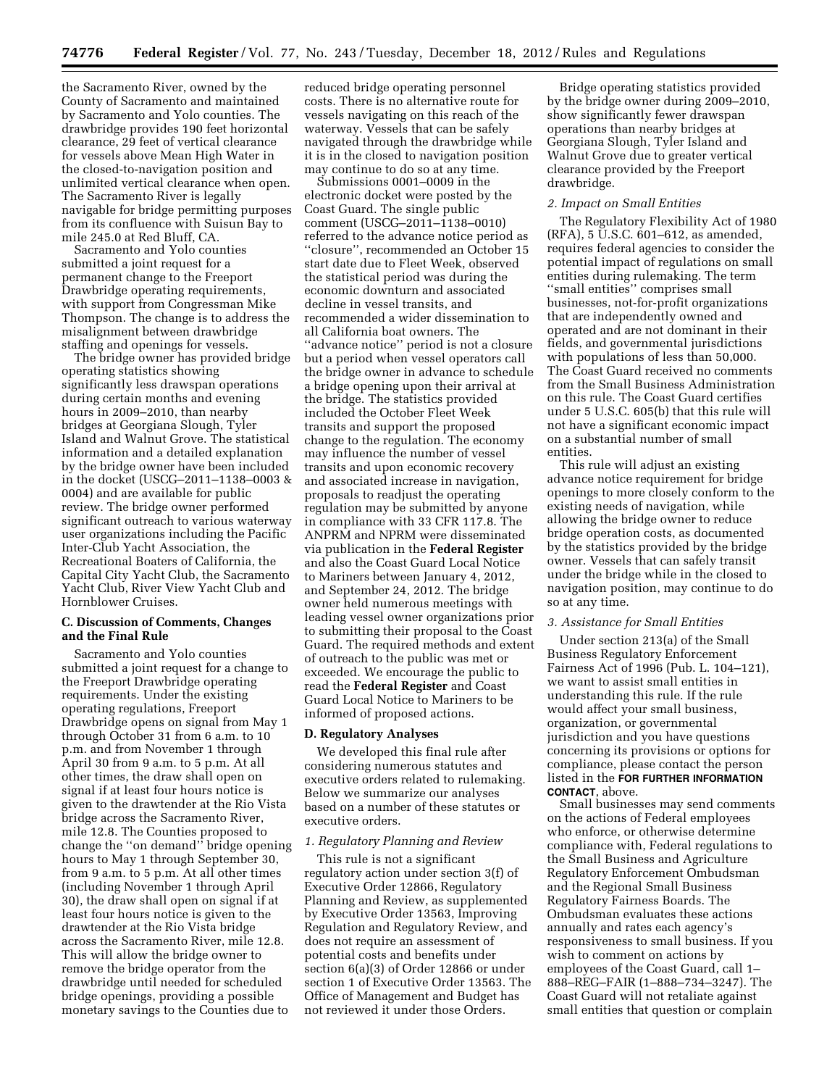the Sacramento River, owned by the County of Sacramento and maintained by Sacramento and Yolo counties. The drawbridge provides 190 feet horizontal clearance, 29 feet of vertical clearance for vessels above Mean High Water in the closed-to-navigation position and unlimited vertical clearance when open. The Sacramento River is legally navigable for bridge permitting purposes from its confluence with Suisun Bay to mile 245.0 at Red Bluff, CA.

Sacramento and Yolo counties submitted a joint request for a permanent change to the Freeport Drawbridge operating requirements, with support from Congressman Mike Thompson. The change is to address the misalignment between drawbridge staffing and openings for vessels.

The bridge owner has provided bridge operating statistics showing significantly less drawspan operations during certain months and evening hours in 2009–2010, than nearby bridges at Georgiana Slough, Tyler Island and Walnut Grove. The statistical information and a detailed explanation by the bridge owner have been included in the docket (USCG–2011–1138–0003 & 0004) and are available for public review. The bridge owner performed significant outreach to various waterway user organizations including the Pacific Inter-Club Yacht Association, the Recreational Boaters of California, the Capital City Yacht Club, the Sacramento Yacht Club, River View Yacht Club and Hornblower Cruises.

# **C. Discussion of Comments, Changes and the Final Rule**

Sacramento and Yolo counties submitted a joint request for a change to the Freeport Drawbridge operating requirements. Under the existing operating regulations, Freeport Drawbridge opens on signal from May 1 through October 31 from 6 a.m. to 10 p.m. and from November 1 through April 30 from 9 a.m. to 5 p.m. At all other times, the draw shall open on signal if at least four hours notice is given to the drawtender at the Rio Vista bridge across the Sacramento River, mile 12.8. The Counties proposed to change the ''on demand'' bridge opening hours to May 1 through September 30, from 9 a.m. to 5 p.m. At all other times (including November 1 through April 30), the draw shall open on signal if at least four hours notice is given to the drawtender at the Rio Vista bridge across the Sacramento River, mile 12.8. This will allow the bridge owner to remove the bridge operator from the drawbridge until needed for scheduled bridge openings, providing a possible monetary savings to the Counties due to

reduced bridge operating personnel costs. There is no alternative route for vessels navigating on this reach of the waterway. Vessels that can be safely navigated through the drawbridge while it is in the closed to navigation position may continue to do so at any time.

Submissions 0001–0009 in the electronic docket were posted by the Coast Guard. The single public comment (USCG–2011–1138–0010) referred to the advance notice period as ''closure'', recommended an October 15 start date due to Fleet Week, observed the statistical period was during the economic downturn and associated decline in vessel transits, and recommended a wider dissemination to all California boat owners. The ''advance notice'' period is not a closure but a period when vessel operators call the bridge owner in advance to schedule a bridge opening upon their arrival at the bridge. The statistics provided included the October Fleet Week transits and support the proposed change to the regulation. The economy may influence the number of vessel transits and upon economic recovery and associated increase in navigation, proposals to readjust the operating regulation may be submitted by anyone in compliance with 33 CFR 117.8. The ANPRM and NPRM were disseminated via publication in the **Federal Register**  and also the Coast Guard Local Notice to Mariners between January 4, 2012, and September 24, 2012. The bridge owner held numerous meetings with leading vessel owner organizations prior to submitting their proposal to the Coast Guard. The required methods and extent of outreach to the public was met or exceeded. We encourage the public to read the **Federal Register** and Coast Guard Local Notice to Mariners to be informed of proposed actions.

#### **D. Regulatory Analyses**

We developed this final rule after considering numerous statutes and executive orders related to rulemaking. Below we summarize our analyses based on a number of these statutes or executive orders.

## *1. Regulatory Planning and Review*

This rule is not a significant regulatory action under section 3(f) of Executive Order 12866, Regulatory Planning and Review, as supplemented by Executive Order 13563, Improving Regulation and Regulatory Review, and does not require an assessment of potential costs and benefits under section 6(a)(3) of Order 12866 or under section 1 of Executive Order 13563. The Office of Management and Budget has not reviewed it under those Orders.

Bridge operating statistics provided by the bridge owner during 2009–2010, show significantly fewer drawspan operations than nearby bridges at Georgiana Slough, Tyler Island and Walnut Grove due to greater vertical clearance provided by the Freeport drawbridge.

### *2. Impact on Small Entities*

The Regulatory Flexibility Act of 1980 (RFA), 5 U.S.C. 601–612, as amended, requires federal agencies to consider the potential impact of regulations on small entities during rulemaking. The term ''small entities'' comprises small businesses, not-for-profit organizations that are independently owned and operated and are not dominant in their fields, and governmental jurisdictions with populations of less than 50,000. The Coast Guard received no comments from the Small Business Administration on this rule. The Coast Guard certifies under 5 U.S.C. 605(b) that this rule will not have a significant economic impact on a substantial number of small entities.

This rule will adjust an existing advance notice requirement for bridge openings to more closely conform to the existing needs of navigation, while allowing the bridge owner to reduce bridge operation costs, as documented by the statistics provided by the bridge owner. Vessels that can safely transit under the bridge while in the closed to navigation position, may continue to do so at any time.

### *3. Assistance for Small Entities*

Under section 213(a) of the Small Business Regulatory Enforcement Fairness Act of 1996 (Pub. L. 104–121), we want to assist small entities in understanding this rule. If the rule would affect your small business, organization, or governmental jurisdiction and you have questions concerning its provisions or options for compliance, please contact the person listed in the **FOR FURTHER INFORMATION CONTACT**, above.

Small businesses may send comments on the actions of Federal employees who enforce, or otherwise determine compliance with, Federal regulations to the Small Business and Agriculture Regulatory Enforcement Ombudsman and the Regional Small Business Regulatory Fairness Boards. The Ombudsman evaluates these actions annually and rates each agency's responsiveness to small business. If you wish to comment on actions by employees of the Coast Guard, call 1– 888–REG–FAIR (1–888–734–3247). The Coast Guard will not retaliate against small entities that question or complain